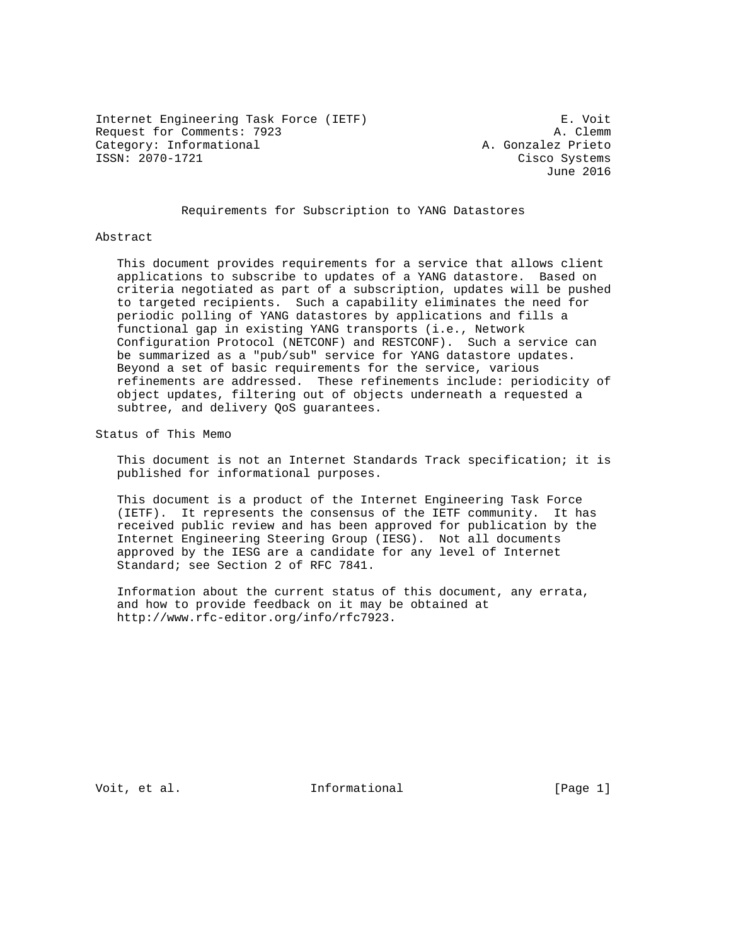Internet Engineering Task Force (IETF) E. Voit Request for Comments: 7923 A. Clemm Category: Informational and the control of the A. Gonzalez Prieto<br>
ISSN: 2070-1721 Cisco Systems

Cisco Systems June 2016

# Requirements for Subscription to YANG Datastores

#### Abstract

 This document provides requirements for a service that allows client applications to subscribe to updates of a YANG datastore. Based on criteria negotiated as part of a subscription, updates will be pushed to targeted recipients. Such a capability eliminates the need for periodic polling of YANG datastores by applications and fills a functional gap in existing YANG transports (i.e., Network Configuration Protocol (NETCONF) and RESTCONF). Such a service can be summarized as a "pub/sub" service for YANG datastore updates. Beyond a set of basic requirements for the service, various refinements are addressed. These refinements include: periodicity of object updates, filtering out of objects underneath a requested a subtree, and delivery QoS guarantees.

Status of This Memo

 This document is not an Internet Standards Track specification; it is published for informational purposes.

 This document is a product of the Internet Engineering Task Force (IETF). It represents the consensus of the IETF community. It has received public review and has been approved for publication by the Internet Engineering Steering Group (IESG). Not all documents approved by the IESG are a candidate for any level of Internet Standard; see Section 2 of RFC 7841.

 Information about the current status of this document, any errata, and how to provide feedback on it may be obtained at http://www.rfc-editor.org/info/rfc7923.

Voit, et al. Informational [Page 1]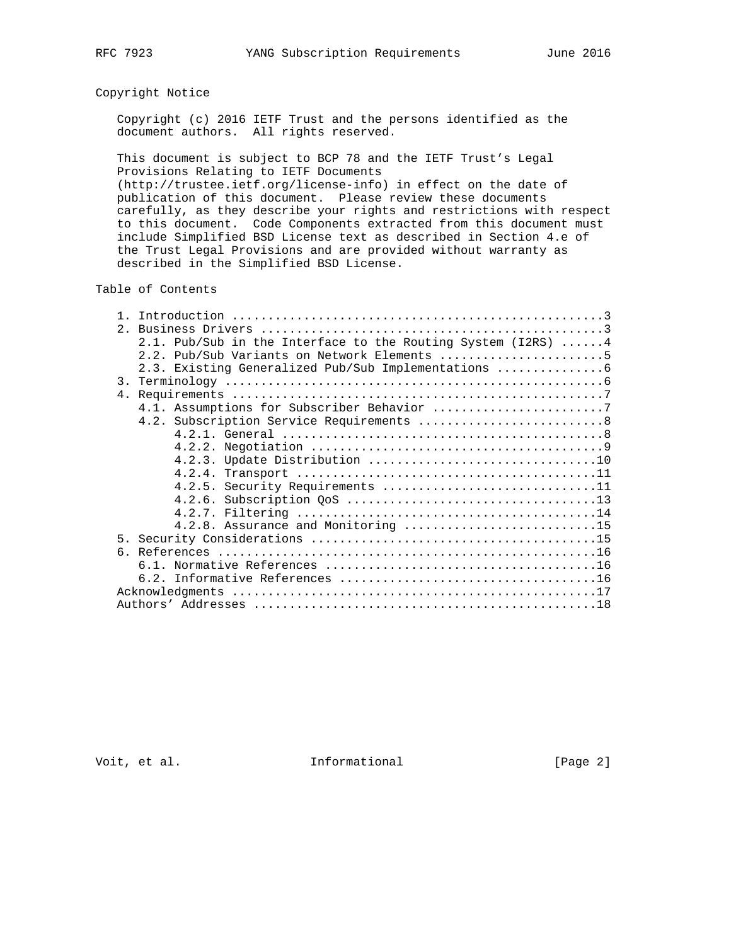# Copyright Notice

 Copyright (c) 2016 IETF Trust and the persons identified as the document authors. All rights reserved.

 This document is subject to BCP 78 and the IETF Trust's Legal Provisions Relating to IETF Documents

 (http://trustee.ietf.org/license-info) in effect on the date of publication of this document. Please review these documents carefully, as they describe your rights and restrictions with respect to this document. Code Components extracted from this document must include Simplified BSD License text as described in Section 4.e of the Trust Legal Provisions and are provided without warranty as described in the Simplified BSD License.

Table of Contents

|  | 2.1. Pub/Sub in the Interface to the Routing System (I2RS) $\dots$ . |
|--|----------------------------------------------------------------------|
|  | 2.2. Pub/Sub Variants on Network Elements 5                          |
|  | 2.3. Existing Generalized Pub/Sub Implementations                    |
|  |                                                                      |
|  |                                                                      |
|  |                                                                      |
|  | 4.2. Subscription Service Requirements  8                            |
|  |                                                                      |
|  |                                                                      |
|  |                                                                      |
|  |                                                                      |
|  | 4.2.5. Security Requirements 11                                      |
|  |                                                                      |
|  |                                                                      |
|  | 4.2.8. Assurance and Monitoring 15                                   |
|  |                                                                      |
|  |                                                                      |
|  |                                                                      |
|  |                                                                      |
|  |                                                                      |
|  |                                                                      |

Voit, et al. 100 mm informational 100 mm informational [Page 2]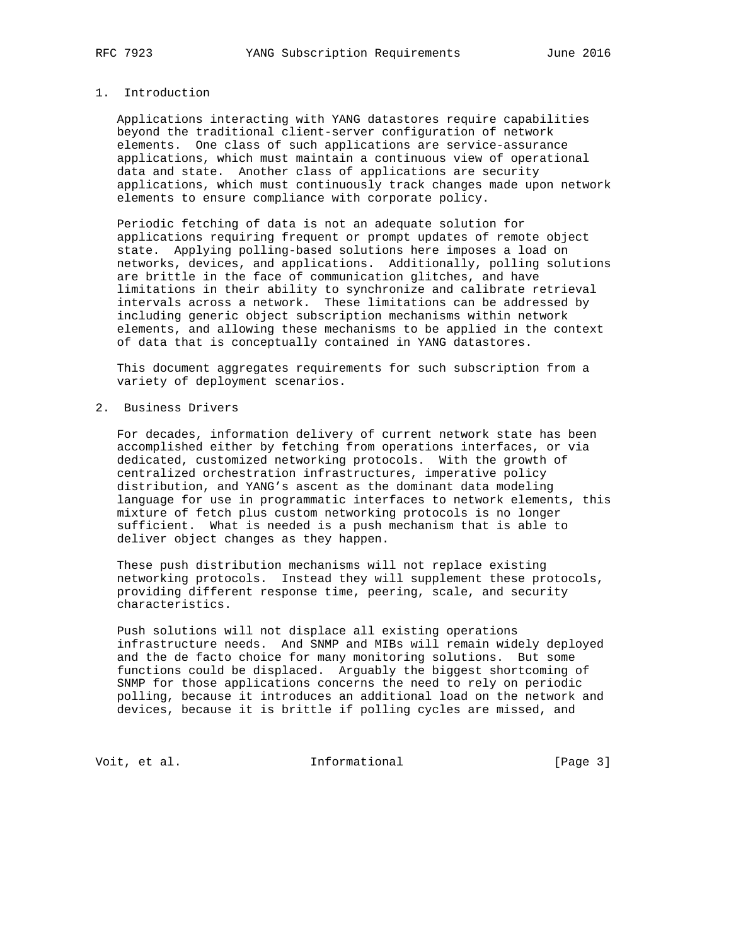# 1. Introduction

 Applications interacting with YANG datastores require capabilities beyond the traditional client-server configuration of network elements. One class of such applications are service-assurance applications, which must maintain a continuous view of operational data and state. Another class of applications are security applications, which must continuously track changes made upon network elements to ensure compliance with corporate policy.

 Periodic fetching of data is not an adequate solution for applications requiring frequent or prompt updates of remote object state. Applying polling-based solutions here imposes a load on networks, devices, and applications. Additionally, polling solutions are brittle in the face of communication glitches, and have limitations in their ability to synchronize and calibrate retrieval intervals across a network. These limitations can be addressed by including generic object subscription mechanisms within network elements, and allowing these mechanisms to be applied in the context of data that is conceptually contained in YANG datastores.

 This document aggregates requirements for such subscription from a variety of deployment scenarios.

2. Business Drivers

 For decades, information delivery of current network state has been accomplished either by fetching from operations interfaces, or via dedicated, customized networking protocols. With the growth of centralized orchestration infrastructures, imperative policy distribution, and YANG's ascent as the dominant data modeling language for use in programmatic interfaces to network elements, this mixture of fetch plus custom networking protocols is no longer sufficient. What is needed is a push mechanism that is able to deliver object changes as they happen.

 These push distribution mechanisms will not replace existing networking protocols. Instead they will supplement these protocols, providing different response time, peering, scale, and security characteristics.

 Push solutions will not displace all existing operations infrastructure needs. And SNMP and MIBs will remain widely deployed and the de facto choice for many monitoring solutions. But some functions could be displaced. Arguably the biggest shortcoming of SNMP for those applications concerns the need to rely on periodic polling, because it introduces an additional load on the network and devices, because it is brittle if polling cycles are missed, and

Voit, et al. 100 mm informational 100 mm informational [Page 3]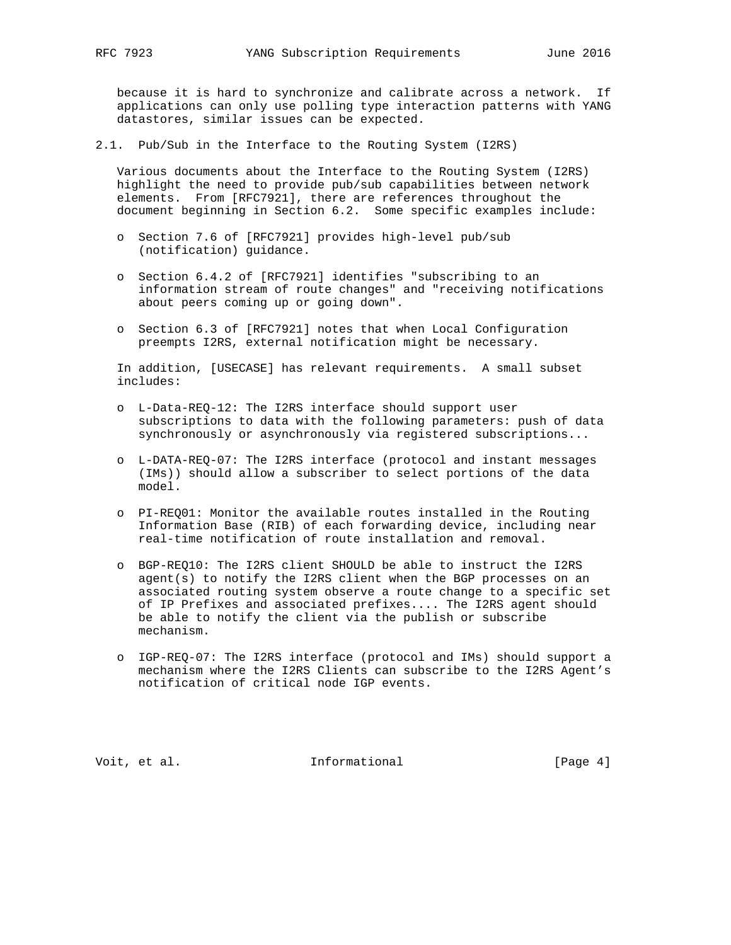because it is hard to synchronize and calibrate across a network. If applications can only use polling type interaction patterns with YANG datastores, similar issues can be expected.

2.1. Pub/Sub in the Interface to the Routing System (I2RS)

 Various documents about the Interface to the Routing System (I2RS) highlight the need to provide pub/sub capabilities between network elements. From [RFC7921], there are references throughout the document beginning in Section 6.2. Some specific examples include:

- o Section 7.6 of [RFC7921] provides high-level pub/sub (notification) guidance.
- o Section 6.4.2 of [RFC7921] identifies "subscribing to an information stream of route changes" and "receiving notifications about peers coming up or going down".
- o Section 6.3 of [RFC7921] notes that when Local Configuration preempts I2RS, external notification might be necessary.

 In addition, [USECASE] has relevant requirements. A small subset includes:

- o L-Data-REQ-12: The I2RS interface should support user subscriptions to data with the following parameters: push of data synchronously or asynchronously via registered subscriptions...
- o L-DATA-REQ-07: The I2RS interface (protocol and instant messages (IMs)) should allow a subscriber to select portions of the data model.
- o PI-REQ01: Monitor the available routes installed in the Routing Information Base (RIB) of each forwarding device, including near real-time notification of route installation and removal.
- o BGP-REQ10: The I2RS client SHOULD be able to instruct the I2RS agent(s) to notify the I2RS client when the BGP processes on an associated routing system observe a route change to a specific set of IP Prefixes and associated prefixes.... The I2RS agent should be able to notify the client via the publish or subscribe mechanism.
- o IGP-REQ-07: The I2RS interface (protocol and IMs) should support a mechanism where the I2RS Clients can subscribe to the I2RS Agent's notification of critical node IGP events.

Voit, et al. 100 mm informational [Page 4]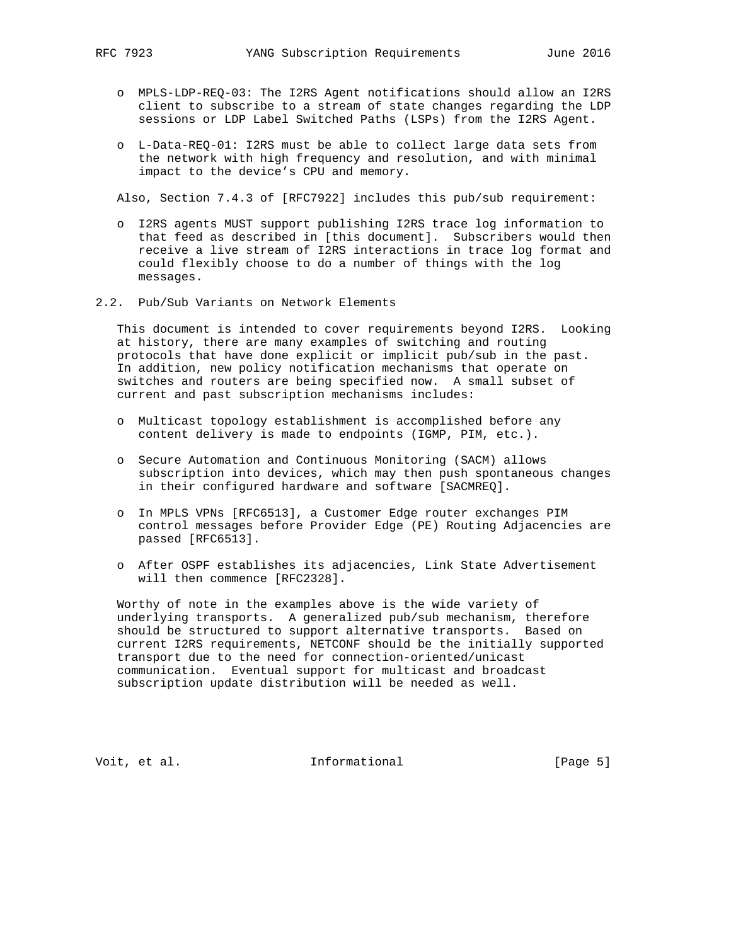- o MPLS-LDP-REQ-03: The I2RS Agent notifications should allow an I2RS client to subscribe to a stream of state changes regarding the LDP sessions or LDP Label Switched Paths (LSPs) from the I2RS Agent.
- o L-Data-REQ-01: I2RS must be able to collect large data sets from the network with high frequency and resolution, and with minimal impact to the device's CPU and memory.

Also, Section 7.4.3 of [RFC7922] includes this pub/sub requirement:

- o I2RS agents MUST support publishing I2RS trace log information to that feed as described in [this document]. Subscribers would then receive a live stream of I2RS interactions in trace log format and could flexibly choose to do a number of things with the log messages.
- 2.2. Pub/Sub Variants on Network Elements

 This document is intended to cover requirements beyond I2RS. Looking at history, there are many examples of switching and routing protocols that have done explicit or implicit pub/sub in the past. In addition, new policy notification mechanisms that operate on switches and routers are being specified now. A small subset of current and past subscription mechanisms includes:

- o Multicast topology establishment is accomplished before any content delivery is made to endpoints (IGMP, PIM, etc.).
- o Secure Automation and Continuous Monitoring (SACM) allows subscription into devices, which may then push spontaneous changes in their configured hardware and software [SACMREQ].
- o In MPLS VPNs [RFC6513], a Customer Edge router exchanges PIM control messages before Provider Edge (PE) Routing Adjacencies are passed [RFC6513].
- o After OSPF establishes its adjacencies, Link State Advertisement will then commence [RFC2328].

 Worthy of note in the examples above is the wide variety of underlying transports. A generalized pub/sub mechanism, therefore should be structured to support alternative transports. Based on current I2RS requirements, NETCONF should be the initially supported transport due to the need for connection-oriented/unicast communication. Eventual support for multicast and broadcast subscription update distribution will be needed as well.

Voit, et al. 100 mm informational 100 mm informational [Page 5]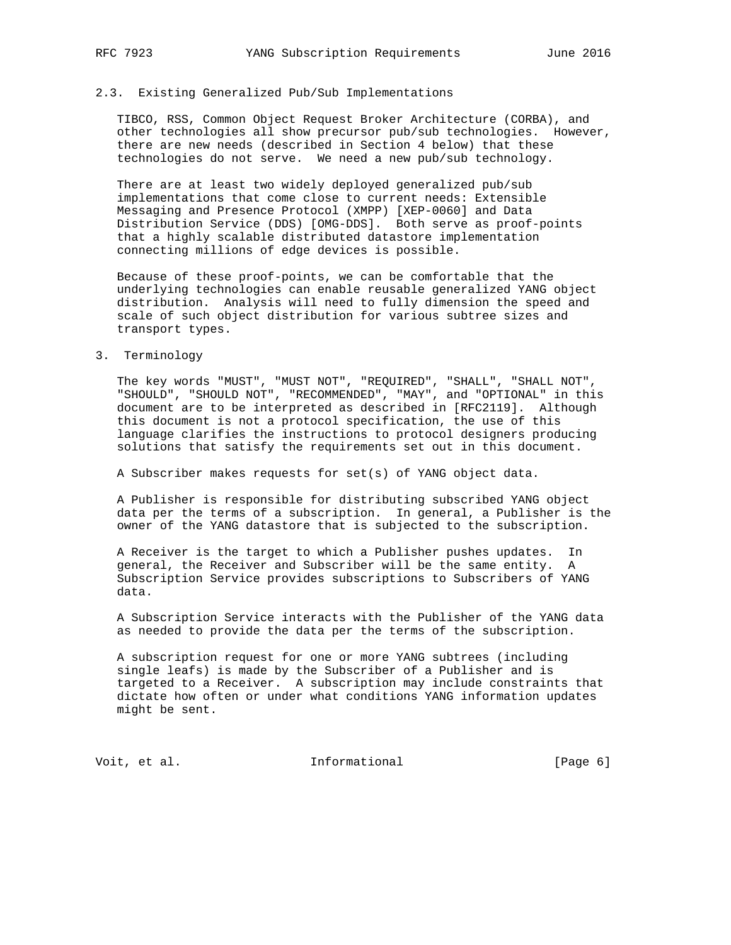#### 2.3. Existing Generalized Pub/Sub Implementations

 TIBCO, RSS, Common Object Request Broker Architecture (CORBA), and other technologies all show precursor pub/sub technologies. However, there are new needs (described in Section 4 below) that these technologies do not serve. We need a new pub/sub technology.

 There are at least two widely deployed generalized pub/sub implementations that come close to current needs: Extensible Messaging and Presence Protocol (XMPP) [XEP-0060] and Data Distribution Service (DDS) [OMG-DDS]. Both serve as proof-points that a highly scalable distributed datastore implementation connecting millions of edge devices is possible.

 Because of these proof-points, we can be comfortable that the underlying technologies can enable reusable generalized YANG object distribution. Analysis will need to fully dimension the speed and scale of such object distribution for various subtree sizes and transport types.

#### 3. Terminology

 The key words "MUST", "MUST NOT", "REQUIRED", "SHALL", "SHALL NOT", "SHOULD", "SHOULD NOT", "RECOMMENDED", "MAY", and "OPTIONAL" in this document are to be interpreted as described in [RFC2119]. Although this document is not a protocol specification, the use of this language clarifies the instructions to protocol designers producing solutions that satisfy the requirements set out in this document.

A Subscriber makes requests for set(s) of YANG object data.

 A Publisher is responsible for distributing subscribed YANG object data per the terms of a subscription. In general, a Publisher is the owner of the YANG datastore that is subjected to the subscription.

 A Receiver is the target to which a Publisher pushes updates. In general, the Receiver and Subscriber will be the same entity. A Subscription Service provides subscriptions to Subscribers of YANG data.

 A Subscription Service interacts with the Publisher of the YANG data as needed to provide the data per the terms of the subscription.

 A subscription request for one or more YANG subtrees (including single leafs) is made by the Subscriber of a Publisher and is targeted to a Receiver. A subscription may include constraints that dictate how often or under what conditions YANG information updates might be sent.

Voit, et al. **Informational** [Page 6]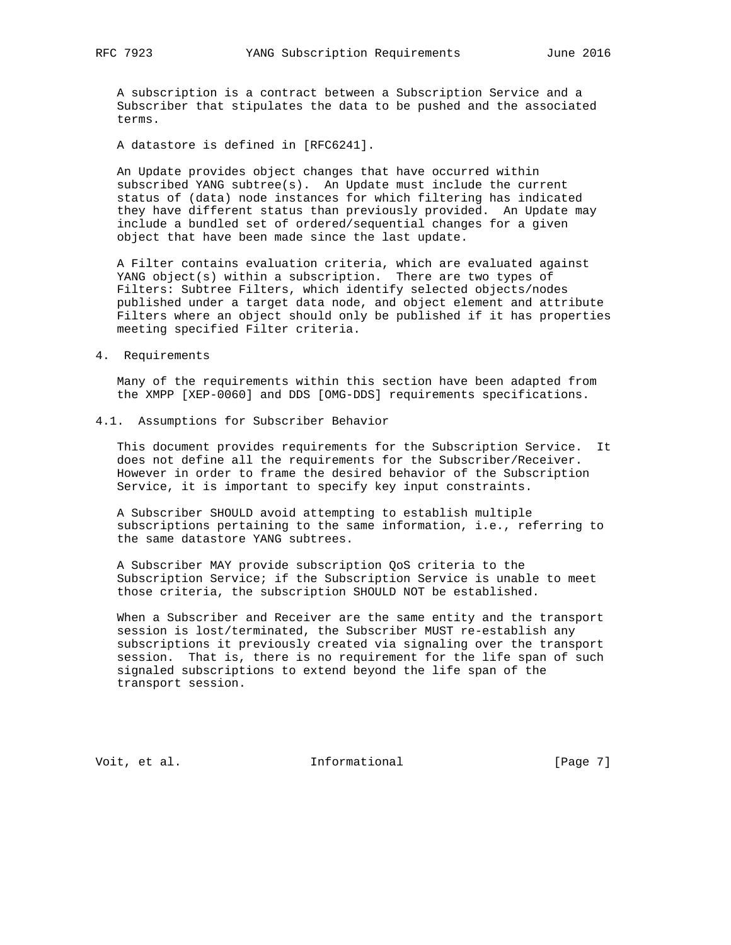A subscription is a contract between a Subscription Service and a Subscriber that stipulates the data to be pushed and the associated terms.

A datastore is defined in [RFC6241].

 An Update provides object changes that have occurred within subscribed YANG subtree(s). An Update must include the current status of (data) node instances for which filtering has indicated they have different status than previously provided. An Update may include a bundled set of ordered/sequential changes for a given object that have been made since the last update.

 A Filter contains evaluation criteria, which are evaluated against YANG object(s) within a subscription. There are two types of Filters: Subtree Filters, which identify selected objects/nodes published under a target data node, and object element and attribute Filters where an object should only be published if it has properties meeting specified Filter criteria.

4. Requirements

 Many of the requirements within this section have been adapted from the XMPP [XEP-0060] and DDS [OMG-DDS] requirements specifications.

4.1. Assumptions for Subscriber Behavior

 This document provides requirements for the Subscription Service. It does not define all the requirements for the Subscriber/Receiver. However in order to frame the desired behavior of the Subscription Service, it is important to specify key input constraints.

 A Subscriber SHOULD avoid attempting to establish multiple subscriptions pertaining to the same information, i.e., referring to the same datastore YANG subtrees.

 A Subscriber MAY provide subscription QoS criteria to the Subscription Service; if the Subscription Service is unable to meet those criteria, the subscription SHOULD NOT be established.

 When a Subscriber and Receiver are the same entity and the transport session is lost/terminated, the Subscriber MUST re-establish any subscriptions it previously created via signaling over the transport session. That is, there is no requirement for the life span of such signaled subscriptions to extend beyond the life span of the transport session.

Voit, et al. 100 mm informational 100 mm informational [Page 7]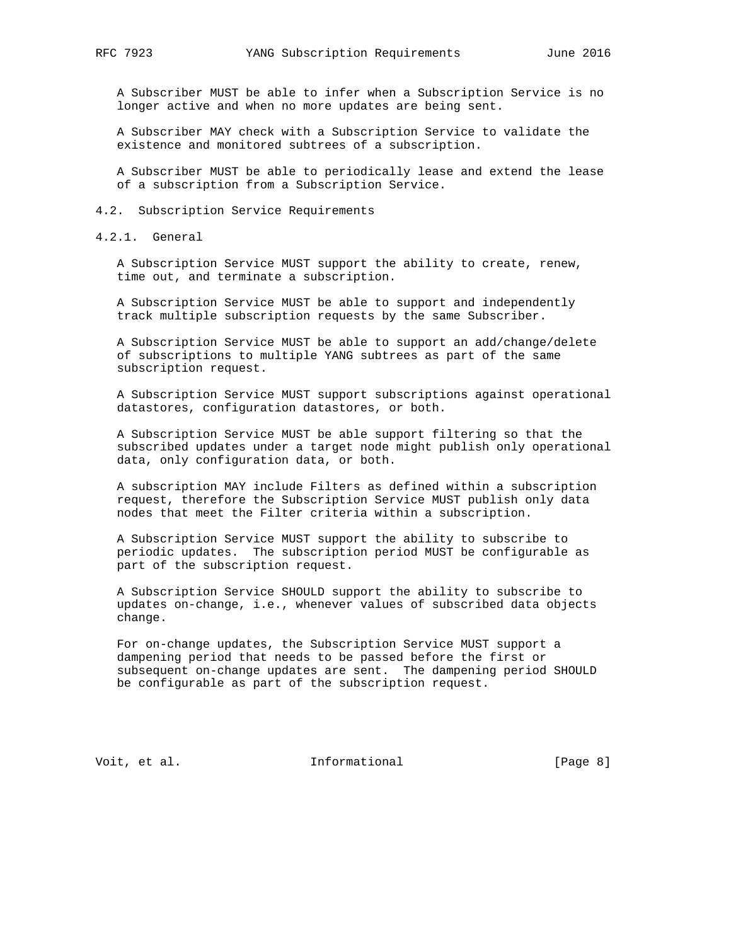A Subscriber MUST be able to infer when a Subscription Service is no longer active and when no more updates are being sent.

 A Subscriber MAY check with a Subscription Service to validate the existence and monitored subtrees of a subscription.

 A Subscriber MUST be able to periodically lease and extend the lease of a subscription from a Subscription Service.

4.2. Subscription Service Requirements

4.2.1. General

 A Subscription Service MUST support the ability to create, renew, time out, and terminate a subscription.

 A Subscription Service MUST be able to support and independently track multiple subscription requests by the same Subscriber.

 A Subscription Service MUST be able to support an add/change/delete of subscriptions to multiple YANG subtrees as part of the same subscription request.

 A Subscription Service MUST support subscriptions against operational datastores, configuration datastores, or both.

 A Subscription Service MUST be able support filtering so that the subscribed updates under a target node might publish only operational data, only configuration data, or both.

 A subscription MAY include Filters as defined within a subscription request, therefore the Subscription Service MUST publish only data nodes that meet the Filter criteria within a subscription.

 A Subscription Service MUST support the ability to subscribe to periodic updates. The subscription period MUST be configurable as part of the subscription request.

 A Subscription Service SHOULD support the ability to subscribe to updates on-change, i.e., whenever values of subscribed data objects change.

 For on-change updates, the Subscription Service MUST support a dampening period that needs to be passed before the first or subsequent on-change updates are sent. The dampening period SHOULD be configurable as part of the subscription request.

Voit, et al. 100 mm informational [Page 8]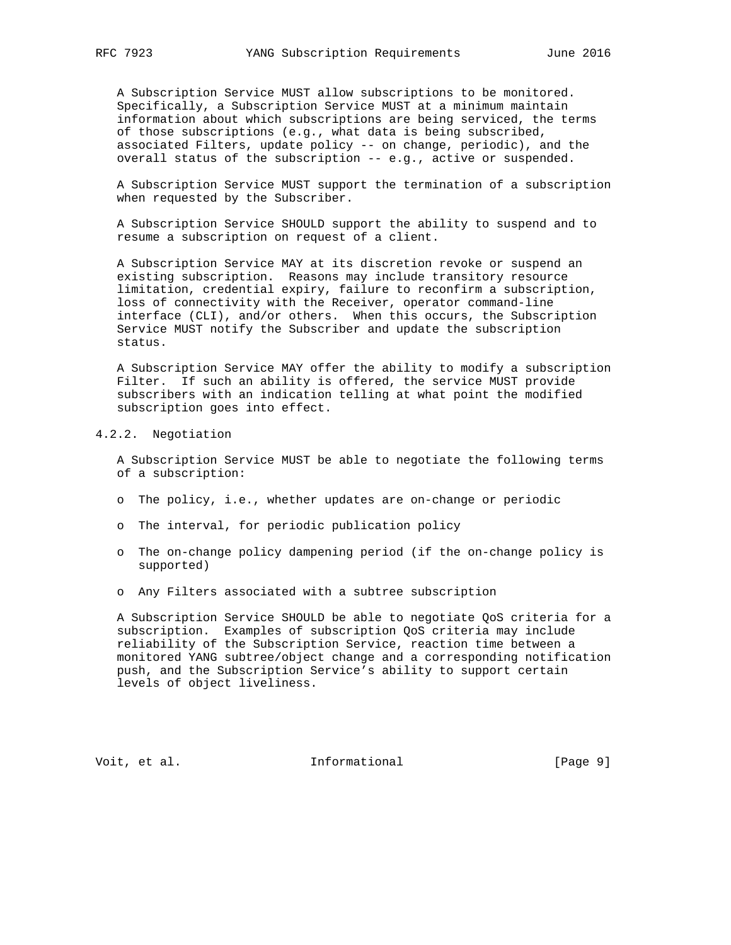A Subscription Service MUST allow subscriptions to be monitored. Specifically, a Subscription Service MUST at a minimum maintain information about which subscriptions are being serviced, the terms of those subscriptions (e.g., what data is being subscribed, associated Filters, update policy -- on change, periodic), and the overall status of the subscription -- e.g., active or suspended.

 A Subscription Service MUST support the termination of a subscription when requested by the Subscriber.

 A Subscription Service SHOULD support the ability to suspend and to resume a subscription on request of a client.

 A Subscription Service MAY at its discretion revoke or suspend an existing subscription. Reasons may include transitory resource limitation, credential expiry, failure to reconfirm a subscription, loss of connectivity with the Receiver, operator command-line interface (CLI), and/or others. When this occurs, the Subscription Service MUST notify the Subscriber and update the subscription status.

 A Subscription Service MAY offer the ability to modify a subscription Filter. If such an ability is offered, the service MUST provide subscribers with an indication telling at what point the modified subscription goes into effect.

# 4.2.2. Negotiation

 A Subscription Service MUST be able to negotiate the following terms of a subscription:

- o The policy, i.e., whether updates are on-change or periodic
- o The interval, for periodic publication policy
- o The on-change policy dampening period (if the on-change policy is supported)
- o Any Filters associated with a subtree subscription

 A Subscription Service SHOULD be able to negotiate QoS criteria for a subscription. Examples of subscription QoS criteria may include reliability of the Subscription Service, reaction time between a monitored YANG subtree/object change and a corresponding notification push, and the Subscription Service's ability to support certain levels of object liveliness.

Voit, et al. 100 mm informational 100 mm informational [Page 9]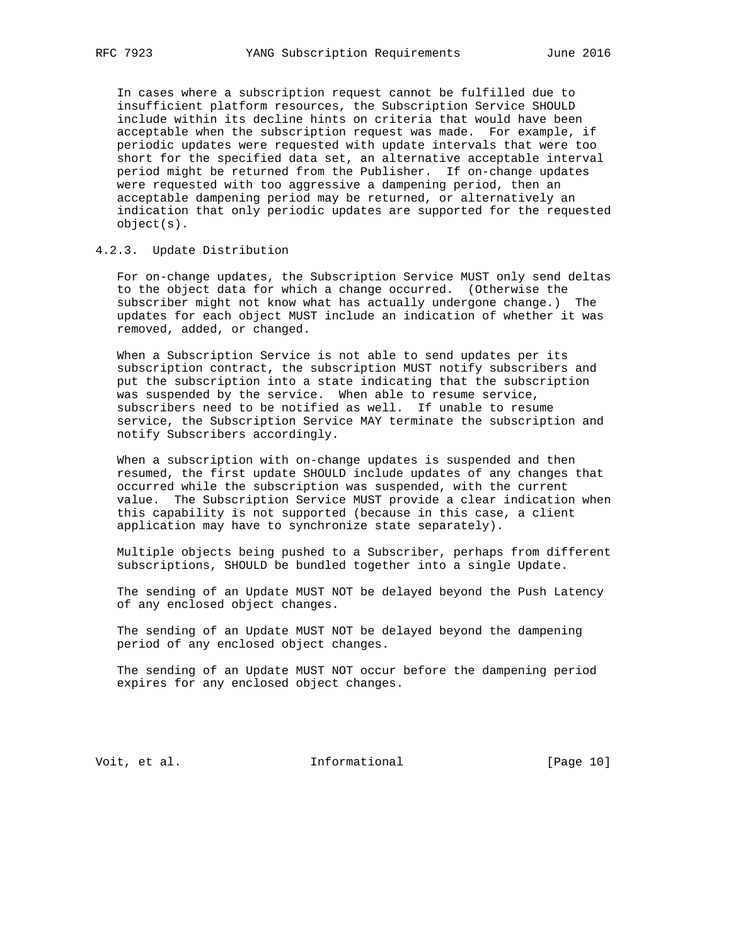In cases where a subscription request cannot be fulfilled due to insufficient platform resources, the Subscription Service SHOULD include within its decline hints on criteria that would have been acceptable when the subscription request was made. For example, if periodic updates were requested with update intervals that were too short for the specified data set, an alternative acceptable interval period might be returned from the Publisher. If on-change updates were requested with too aggressive a dampening period, then an acceptable dampening period may be returned, or alternatively an indication that only periodic updates are supported for the requested object(s).

# 4.2.3. Update Distribution

 For on-change updates, the Subscription Service MUST only send deltas to the object data for which a change occurred. (Otherwise the subscriber might not know what has actually undergone change.) The updates for each object MUST include an indication of whether it was removed, added, or changed.

 When a Subscription Service is not able to send updates per its subscription contract, the subscription MUST notify subscribers and put the subscription into a state indicating that the subscription was suspended by the service. When able to resume service, subscribers need to be notified as well. If unable to resume service, the Subscription Service MAY terminate the subscription and notify Subscribers accordingly.

 When a subscription with on-change updates is suspended and then resumed, the first update SHOULD include updates of any changes that occurred while the subscription was suspended, with the current value. The Subscription Service MUST provide a clear indication when this capability is not supported (because in this case, a client application may have to synchronize state separately).

 Multiple objects being pushed to a Subscriber, perhaps from different subscriptions, SHOULD be bundled together into a single Update.

 The sending of an Update MUST NOT be delayed beyond the Push Latency of any enclosed object changes.

 The sending of an Update MUST NOT be delayed beyond the dampening period of any enclosed object changes.

 The sending of an Update MUST NOT occur before the dampening period expires for any enclosed object changes.

Voit, et al. 100 mm informational [Page 10]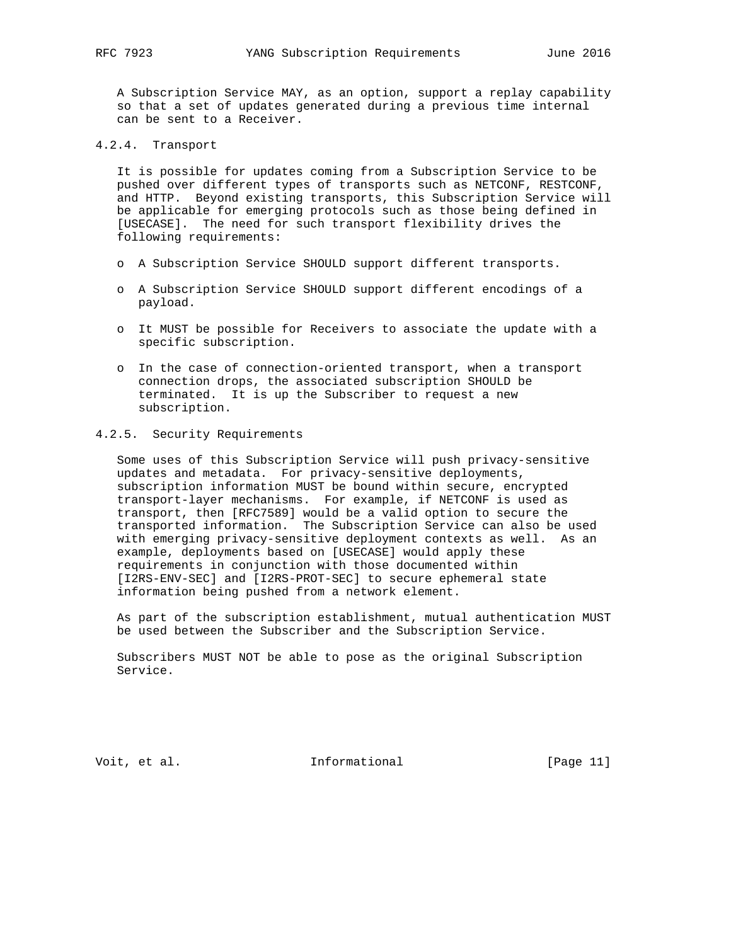A Subscription Service MAY, as an option, support a replay capability so that a set of updates generated during a previous time internal can be sent to a Receiver.

# 4.2.4. Transport

 It is possible for updates coming from a Subscription Service to be pushed over different types of transports such as NETCONF, RESTCONF, and HTTP. Beyond existing transports, this Subscription Service will be applicable for emerging protocols such as those being defined in [USECASE]. The need for such transport flexibility drives the following requirements:

- o A Subscription Service SHOULD support different transports.
- o A Subscription Service SHOULD support different encodings of a payload.
- o It MUST be possible for Receivers to associate the update with a specific subscription.
- o In the case of connection-oriented transport, when a transport connection drops, the associated subscription SHOULD be terminated. It is up the Subscriber to request a new subscription.

# 4.2.5. Security Requirements

 Some uses of this Subscription Service will push privacy-sensitive updates and metadata. For privacy-sensitive deployments, subscription information MUST be bound within secure, encrypted transport-layer mechanisms. For example, if NETCONF is used as transport, then [RFC7589] would be a valid option to secure the transported information. The Subscription Service can also be used with emerging privacy-sensitive deployment contexts as well. As an example, deployments based on [USECASE] would apply these requirements in conjunction with those documented within [I2RS-ENV-SEC] and [I2RS-PROT-SEC] to secure ephemeral state information being pushed from a network element.

 As part of the subscription establishment, mutual authentication MUST be used between the Subscriber and the Subscription Service.

 Subscribers MUST NOT be able to pose as the original Subscription Service.

Voit, et al. 10. Informational [Page 11]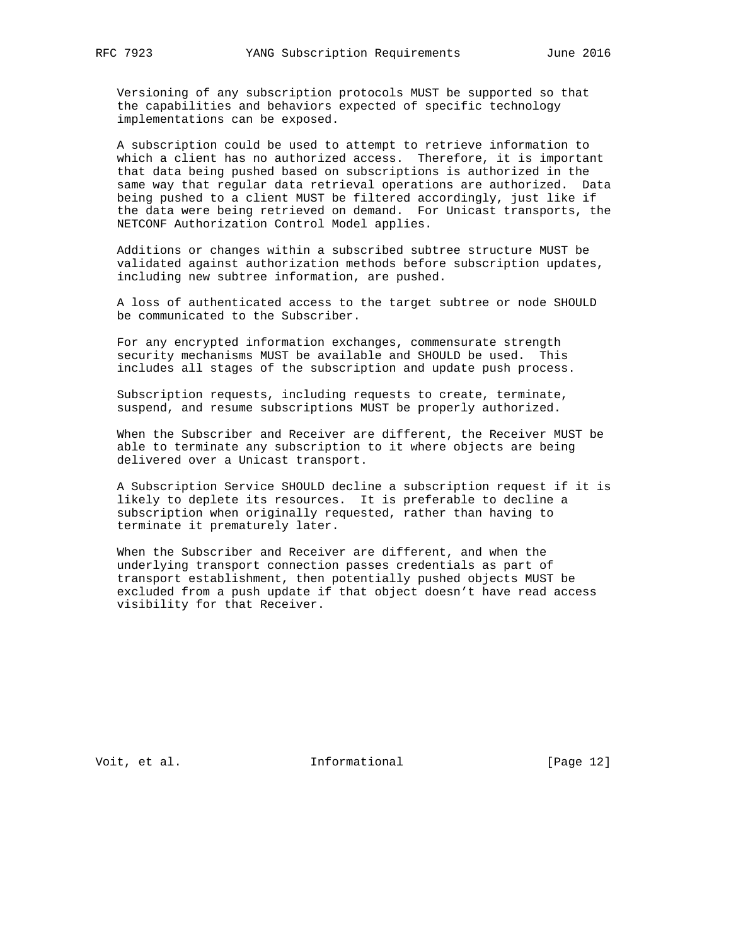Versioning of any subscription protocols MUST be supported so that the capabilities and behaviors expected of specific technology implementations can be exposed.

 A subscription could be used to attempt to retrieve information to which a client has no authorized access. Therefore, it is important that data being pushed based on subscriptions is authorized in the same way that regular data retrieval operations are authorized. Data being pushed to a client MUST be filtered accordingly, just like if the data were being retrieved on demand. For Unicast transports, the NETCONF Authorization Control Model applies.

 Additions or changes within a subscribed subtree structure MUST be validated against authorization methods before subscription updates, including new subtree information, are pushed.

 A loss of authenticated access to the target subtree or node SHOULD be communicated to the Subscriber.

 For any encrypted information exchanges, commensurate strength security mechanisms MUST be available and SHOULD be used. This includes all stages of the subscription and update push process.

 Subscription requests, including requests to create, terminate, suspend, and resume subscriptions MUST be properly authorized.

 When the Subscriber and Receiver are different, the Receiver MUST be able to terminate any subscription to it where objects are being delivered over a Unicast transport.

 A Subscription Service SHOULD decline a subscription request if it is likely to deplete its resources. It is preferable to decline a subscription when originally requested, rather than having to terminate it prematurely later.

 When the Subscriber and Receiver are different, and when the underlying transport connection passes credentials as part of transport establishment, then potentially pushed objects MUST be excluded from a push update if that object doesn't have read access visibility for that Receiver.

Voit, et al. 100 mm informational [Page 12]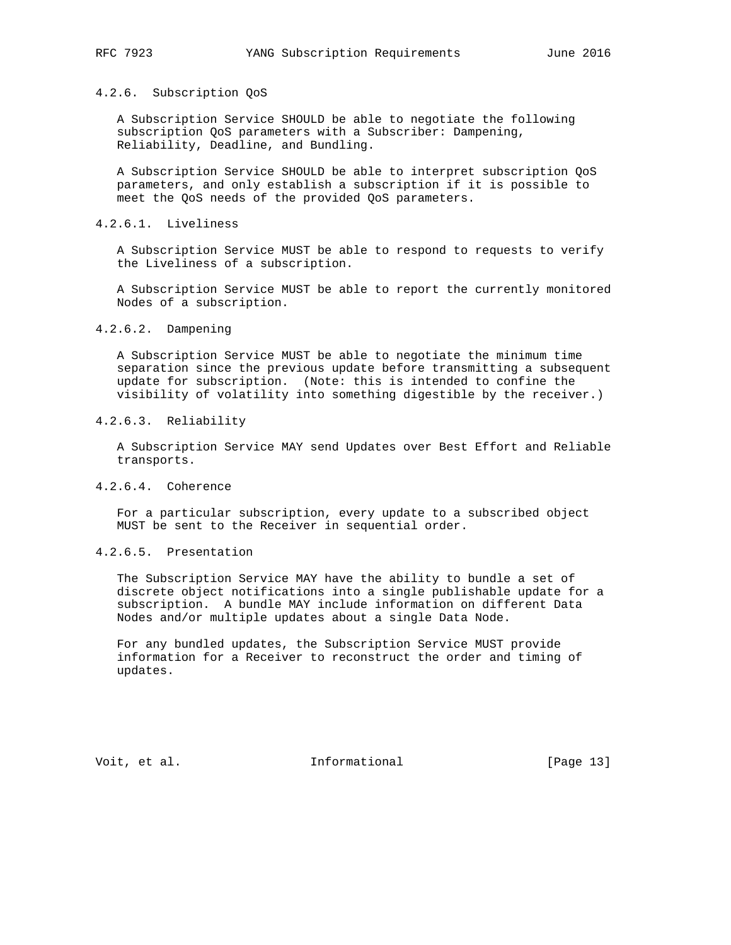### 4.2.6. Subscription QoS

 A Subscription Service SHOULD be able to negotiate the following subscription QoS parameters with a Subscriber: Dampening, Reliability, Deadline, and Bundling.

 A Subscription Service SHOULD be able to interpret subscription QoS parameters, and only establish a subscription if it is possible to meet the QoS needs of the provided QoS parameters.

### 4.2.6.1. Liveliness

 A Subscription Service MUST be able to respond to requests to verify the Liveliness of a subscription.

 A Subscription Service MUST be able to report the currently monitored Nodes of a subscription.

#### 4.2.6.2. Dampening

 A Subscription Service MUST be able to negotiate the minimum time separation since the previous update before transmitting a subsequent update for subscription. (Note: this is intended to confine the visibility of volatility into something digestible by the receiver.)

# 4.2.6.3. Reliability

 A Subscription Service MAY send Updates over Best Effort and Reliable transports.

## 4.2.6.4. Coherence

 For a particular subscription, every update to a subscribed object MUST be sent to the Receiver in sequential order.

### 4.2.6.5. Presentation

 The Subscription Service MAY have the ability to bundle a set of discrete object notifications into a single publishable update for a subscription. A bundle MAY include information on different Data Nodes and/or multiple updates about a single Data Node.

 For any bundled updates, the Subscription Service MUST provide information for a Receiver to reconstruct the order and timing of updates.

Voit, et al. 100 mm informational [Page 13]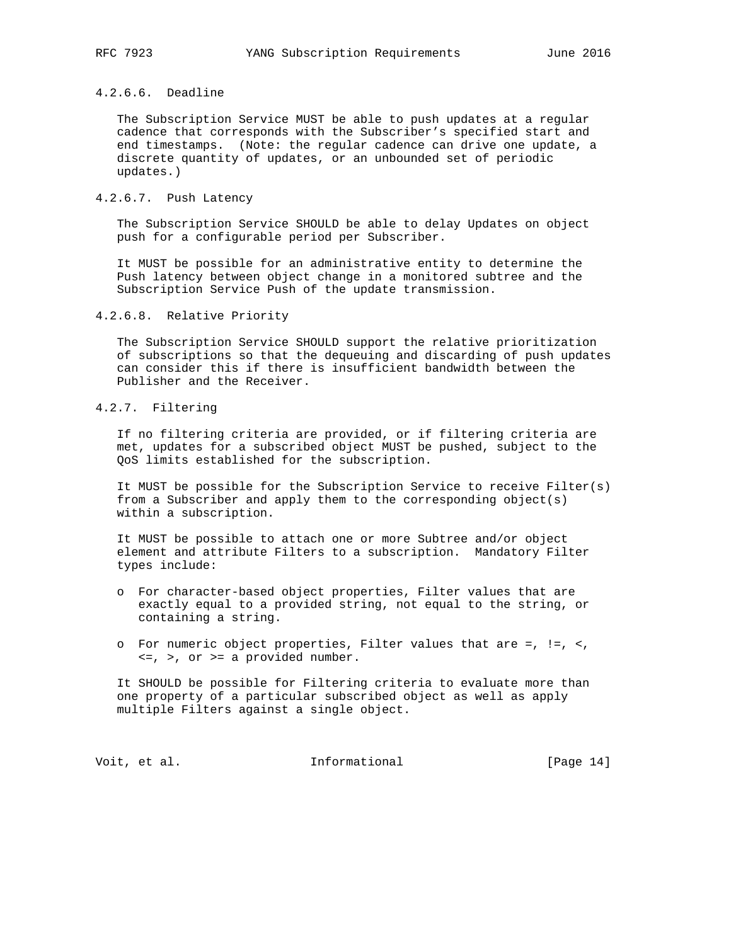# 4.2.6.6. Deadline

 The Subscription Service MUST be able to push updates at a regular cadence that corresponds with the Subscriber's specified start and end timestamps. (Note: the regular cadence can drive one update, a discrete quantity of updates, or an unbounded set of periodic updates.)

# 4.2.6.7. Push Latency

 The Subscription Service SHOULD be able to delay Updates on object push for a configurable period per Subscriber.

 It MUST be possible for an administrative entity to determine the Push latency between object change in a monitored subtree and the Subscription Service Push of the update transmission.

## 4.2.6.8. Relative Priority

 The Subscription Service SHOULD support the relative prioritization of subscriptions so that the dequeuing and discarding of push updates can consider this if there is insufficient bandwidth between the Publisher and the Receiver.

# 4.2.7. Filtering

 If no filtering criteria are provided, or if filtering criteria are met, updates for a subscribed object MUST be pushed, subject to the QoS limits established for the subscription.

 It MUST be possible for the Subscription Service to receive Filter(s) from a Subscriber and apply them to the corresponding object(s) within a subscription.

 It MUST be possible to attach one or more Subtree and/or object element and attribute Filters to a subscription. Mandatory Filter types include:

- o For character-based object properties, Filter values that are exactly equal to a provided string, not equal to the string, or containing a string.
- o For numeric object properties, Filter values that are =, !=, <,  $\leq$ ,  $>$ , or  $\geq$  a provided number.

 It SHOULD be possible for Filtering criteria to evaluate more than one property of a particular subscribed object as well as apply multiple Filters against a single object.

Voit, et al. 10. Informational [Page 14]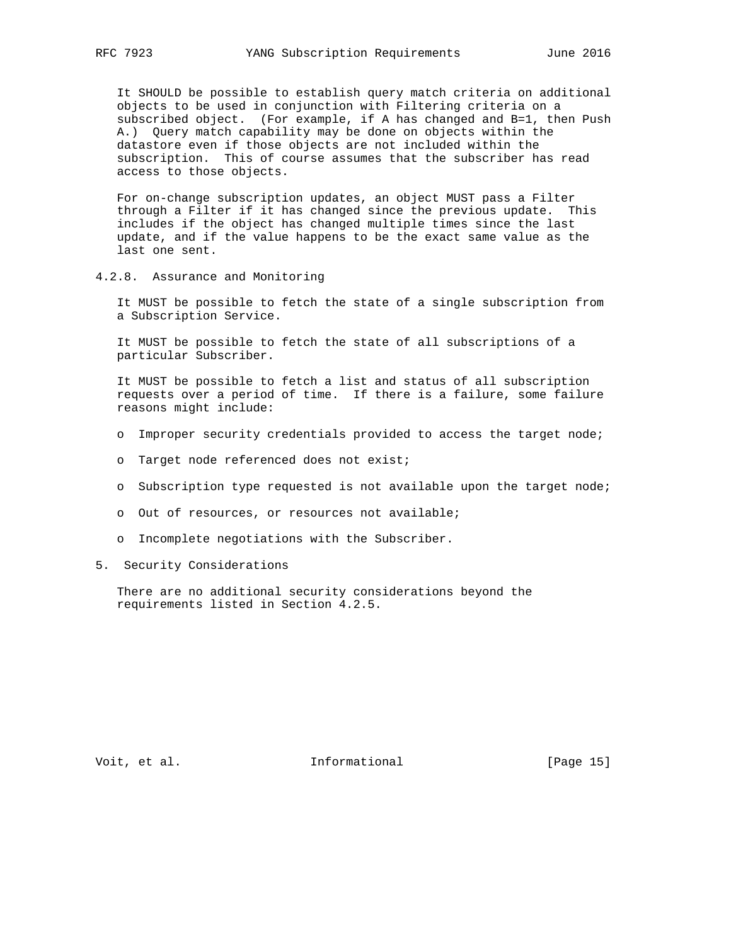It SHOULD be possible to establish query match criteria on additional objects to be used in conjunction with Filtering criteria on a subscribed object. (For example, if A has changed and B=1, then Push A.) Query match capability may be done on objects within the datastore even if those objects are not included within the subscription. This of course assumes that the subscriber has read access to those objects.

 For on-change subscription updates, an object MUST pass a Filter through a Filter if it has changed since the previous update. This includes if the object has changed multiple times since the last update, and if the value happens to be the exact same value as the last one sent.

4.2.8. Assurance and Monitoring

 It MUST be possible to fetch the state of a single subscription from a Subscription Service.

 It MUST be possible to fetch the state of all subscriptions of a particular Subscriber.

 It MUST be possible to fetch a list and status of all subscription requests over a period of time. If there is a failure, some failure reasons might include:

- o Improper security credentials provided to access the target node;
- o Target node referenced does not exist;
- o Subscription type requested is not available upon the target node;
- o Out of resources, or resources not available;
- o Incomplete negotiations with the Subscriber.
- 5. Security Considerations

 There are no additional security considerations beyond the requirements listed in Section 4.2.5.

Voit, et al. 100 mm informational [Page 15]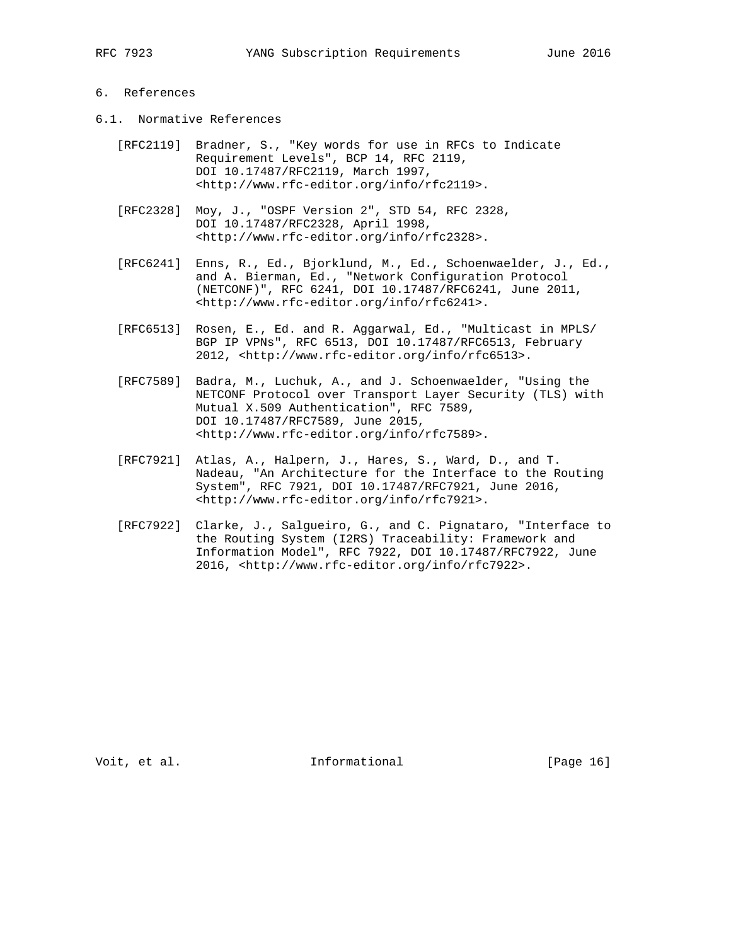# 6. References

- 6.1. Normative References
	- [RFC2119] Bradner, S., "Key words for use in RFCs to Indicate Requirement Levels", BCP 14, RFC 2119, DOI 10.17487/RFC2119, March 1997, <http://www.rfc-editor.org/info/rfc2119>.
	- [RFC2328] Moy, J., "OSPF Version 2", STD 54, RFC 2328, DOI 10.17487/RFC2328, April 1998, <http://www.rfc-editor.org/info/rfc2328>.
- [RFC6241] Enns, R., Ed., Bjorklund, M., Ed., Schoenwaelder, J., Ed., and A. Bierman, Ed., "Network Configuration Protocol (NETCONF)", RFC 6241, DOI 10.17487/RFC6241, June 2011, <http://www.rfc-editor.org/info/rfc6241>.
	- [RFC6513] Rosen, E., Ed. and R. Aggarwal, Ed., "Multicast in MPLS/ BGP IP VPNs", RFC 6513, DOI 10.17487/RFC6513, February 2012, <http://www.rfc-editor.org/info/rfc6513>.
	- [RFC7589] Badra, M., Luchuk, A., and J. Schoenwaelder, "Using the NETCONF Protocol over Transport Layer Security (TLS) with Mutual X.509 Authentication", RFC 7589, DOI 10.17487/RFC7589, June 2015, <http://www.rfc-editor.org/info/rfc7589>.
	- [RFC7921] Atlas, A., Halpern, J., Hares, S., Ward, D., and T. Nadeau, "An Architecture for the Interface to the Routing System", RFC 7921, DOI 10.17487/RFC7921, June 2016, <http://www.rfc-editor.org/info/rfc7921>.
	- [RFC7922] Clarke, J., Salgueiro, G., and C. Pignataro, "Interface to the Routing System (I2RS) Traceability: Framework and Information Model", RFC 7922, DOI 10.17487/RFC7922, June 2016, <http://www.rfc-editor.org/info/rfc7922>.

Voit, et al. 100 mm informational [Page 16]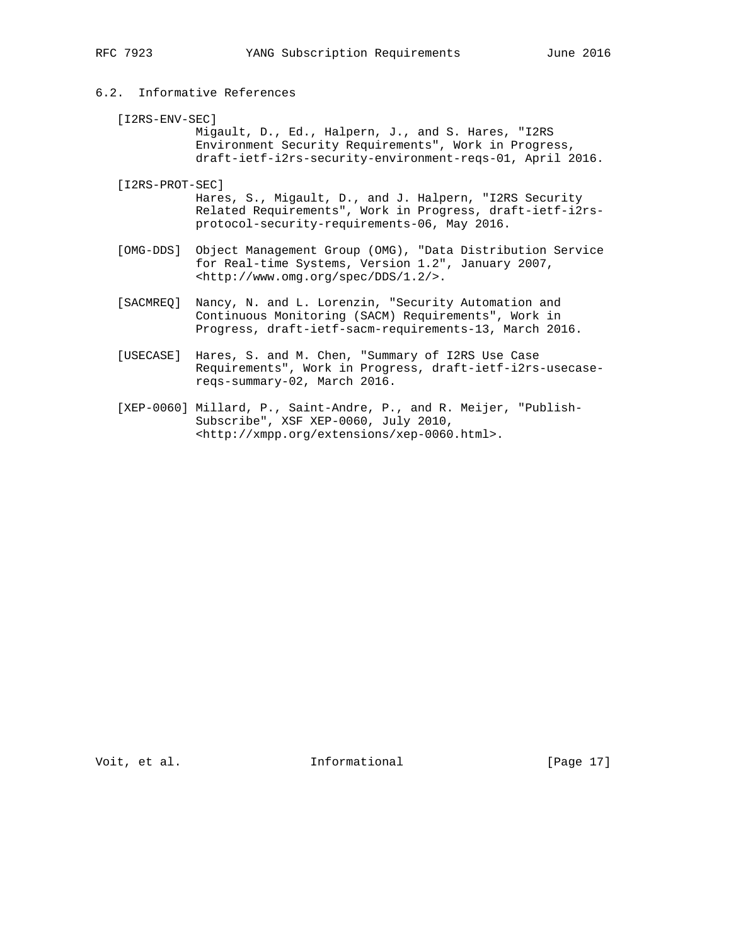# 6.2. Informative References

[I2RS-ENV-SEC]

 Migault, D., Ed., Halpern, J., and S. Hares, "I2RS Environment Security Requirements", Work in Progress, draft-ietf-i2rs-security-environment-reqs-01, April 2016.

- [I2RS-PROT-SEC] Hares, S., Migault, D., and J. Halpern, "I2RS Security Related Requirements", Work in Progress, draft-ietf-i2rs protocol-security-requirements-06, May 2016.
- [OMG-DDS] Object Management Group (OMG), "Data Distribution Service for Real-time Systems, Version 1.2", January 2007, <http://www.omg.org/spec/DDS/1.2/>.
- [SACMREQ] Nancy, N. and L. Lorenzin, "Security Automation and Continuous Monitoring (SACM) Requirements", Work in Progress, draft-ietf-sacm-requirements-13, March 2016.
- [USECASE] Hares, S. and M. Chen, "Summary of I2RS Use Case Requirements", Work in Progress, draft-ietf-i2rs-usecase reqs-summary-02, March 2016.
- [XEP-0060] Millard, P., Saint-Andre, P., and R. Meijer, "Publish- Subscribe", XSF XEP-0060, July 2010, <http://xmpp.org/extensions/xep-0060.html>.

Voit, et al. 100 mm informational [Page 17]